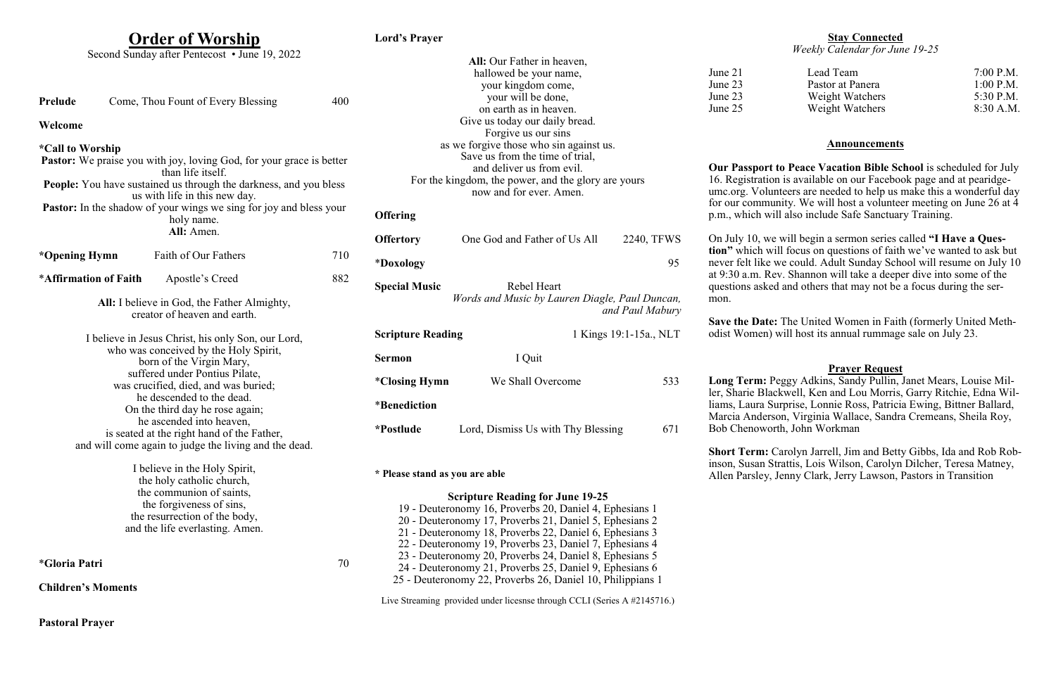|  | <b>Order of Worship</b> |
|--|-------------------------|

**Pastoral Prayer**

**Lord's Prayer**

|                                                                      |                                                                          | Second Sunday after Pentecost • June 19, 2022                             |                                                         |                                                                                                                    |                                                                          |                        |                                 |  |
|----------------------------------------------------------------------|--------------------------------------------------------------------------|---------------------------------------------------------------------------|---------------------------------------------------------|--------------------------------------------------------------------------------------------------------------------|--------------------------------------------------------------------------|------------------------|---------------------------------|--|
|                                                                      |                                                                          |                                                                           |                                                         |                                                                                                                    | All: Our Father in heaven,                                               |                        |                                 |  |
|                                                                      |                                                                          |                                                                           |                                                         |                                                                                                                    | hallowed be your name,                                                   |                        | June 21                         |  |
|                                                                      |                                                                          |                                                                           |                                                         |                                                                                                                    | your kingdom come,                                                       |                        | June 23                         |  |
| Prelude                                                              |                                                                          | Come, Thou Fount of Every Blessing                                        | 400                                                     |                                                                                                                    | your will be done,                                                       |                        | June 23                         |  |
|                                                                      |                                                                          |                                                                           |                                                         |                                                                                                                    | on earth as in heaven.                                                   |                        | June 25                         |  |
| Welcome                                                              |                                                                          |                                                                           | Give us today our daily bread.                          |                                                                                                                    |                                                                          |                        |                                 |  |
|                                                                      |                                                                          |                                                                           |                                                         |                                                                                                                    | Forgive us our sins                                                      |                        |                                 |  |
| <i><b>*Call to Worship</b></i>                                       |                                                                          |                                                                           |                                                         |                                                                                                                    | as we forgive those who sin against us.                                  |                        |                                 |  |
| Pastor: We praise you with joy, loving God, for your grace is better |                                                                          |                                                                           | Save us from the time of trial,                         |                                                                                                                    |                                                                          |                        |                                 |  |
|                                                                      |                                                                          | than life itself.                                                         |                                                         |                                                                                                                    | and deliver us from evil.                                                |                        | <b>Our Passp</b>                |  |
|                                                                      | <b>People:</b> You have sustained us through the darkness, and you bless |                                                                           |                                                         | For the kingdom, the power, and the glory are yours                                                                |                                                                          |                        | 16. Registr                     |  |
|                                                                      |                                                                          | us with life in this new day.                                             |                                                         |                                                                                                                    | now and for ever. Amen.                                                  |                        | umc.org. V                      |  |
|                                                                      |                                                                          | <b>Pastor:</b> In the shadow of your wings we sing for joy and bless your |                                                         |                                                                                                                    |                                                                          |                        | for our con                     |  |
|                                                                      |                                                                          | holy name.                                                                |                                                         | <b>Offering</b>                                                                                                    |                                                                          |                        | p.m., which                     |  |
|                                                                      |                                                                          | All: Amen.                                                                |                                                         |                                                                                                                    |                                                                          |                        |                                 |  |
|                                                                      |                                                                          |                                                                           |                                                         | <b>Offertory</b>                                                                                                   | One God and Father of Us All                                             | 2240, TFWS             | On July 10                      |  |
| *Opening Hymn                                                        |                                                                          | Faith of Our Fathers                                                      | 710                                                     |                                                                                                                    |                                                                          |                        | tion" which                     |  |
|                                                                      |                                                                          |                                                                           |                                                         | *Doxology                                                                                                          |                                                                          | 95                     | never felt l                    |  |
| *Affirmation of Faith                                                |                                                                          | Apostle's Creed                                                           | 882                                                     |                                                                                                                    |                                                                          |                        | at 9:30 a.m                     |  |
|                                                                      |                                                                          |                                                                           |                                                         | <b>Special Music</b>                                                                                               | Rebel Heart                                                              |                        | questions a                     |  |
| All: I believe in God, the Father Almighty,                          |                                                                          |                                                                           | Words and Music by Lauren Diagle, Paul Duncan,          |                                                                                                                    | mon.                                                                     |                        |                                 |  |
|                                                                      |                                                                          | creator of heaven and earth.                                              |                                                         |                                                                                                                    |                                                                          | and Paul Mabury        |                                 |  |
|                                                                      |                                                                          |                                                                           |                                                         |                                                                                                                    |                                                                          |                        | Save the D<br>odist Wom         |  |
|                                                                      |                                                                          | I believe in Jesus Christ, his only Son, our Lord,                        |                                                         | <b>Scripture Reading</b>                                                                                           |                                                                          | 1 Kings 19:1-15a., NLT |                                 |  |
|                                                                      | who was conceived by the Holy Spirit,                                    |                                                                           |                                                         |                                                                                                                    |                                                                          |                        |                                 |  |
|                                                                      |                                                                          | born of the Virgin Mary,                                                  |                                                         | <b>Sermon</b>                                                                                                      | I Quit                                                                   |                        |                                 |  |
|                                                                      |                                                                          | suffered under Pontius Pilate,                                            |                                                         |                                                                                                                    | We Shall Overcome                                                        | 533                    |                                 |  |
|                                                                      |                                                                          | was crucified, died, and was buried;                                      |                                                         | <i>*Closing Hymn</i>                                                                                               |                                                                          |                        | <b>Long Terr</b><br>ler, Sharie |  |
|                                                                      |                                                                          | he descended to the dead.                                                 |                                                         | <i>*</i> Benediction                                                                                               |                                                                          |                        | liams, Laur                     |  |
|                                                                      |                                                                          | On the third day he rose again;                                           |                                                         |                                                                                                                    |                                                                          |                        | Marcia An                       |  |
|                                                                      |                                                                          | he ascended into heaven,                                                  |                                                         | <i>*Postlude</i>                                                                                                   | Lord, Dismiss Us with Thy Blessing                                       | 671                    | <b>Bob Chenc</b>                |  |
|                                                                      |                                                                          | is seated at the right hand of the Father,                                |                                                         |                                                                                                                    |                                                                          |                        |                                 |  |
|                                                                      |                                                                          | and will come again to judge the living and the dead.                     |                                                         |                                                                                                                    |                                                                          |                        | <b>Short Teri</b>               |  |
|                                                                      |                                                                          |                                                                           |                                                         |                                                                                                                    |                                                                          |                        | inson, Susa                     |  |
|                                                                      | I believe in the Holy Spirit,                                            |                                                                           |                                                         | * Please stand as you are able                                                                                     |                                                                          |                        | Allen Parsl                     |  |
|                                                                      |                                                                          | the holy catholic church,                                                 |                                                         |                                                                                                                    |                                                                          |                        |                                 |  |
|                                                                      |                                                                          | the communion of saints,                                                  |                                                         |                                                                                                                    | <b>Scripture Reading for June 19-25</b>                                  |                        |                                 |  |
|                                                                      | the forgiveness of sins,<br>the resurrection of the body,                |                                                                           |                                                         | 19 - Deuteronomy 16, Proverbs 20, Daniel 4, Ephesians 1<br>20 - Deuteronomy 17, Proverbs 21, Daniel 5, Ephesians 2 |                                                                          |                        |                                 |  |
|                                                                      |                                                                          |                                                                           |                                                         |                                                                                                                    |                                                                          |                        |                                 |  |
| and the life everlasting. Amen.                                      |                                                                          |                                                                           | 21 - Deuteronomy 18, Proverbs 22, Daniel 6, Ephesians 3 |                                                                                                                    |                                                                          |                        |                                 |  |
|                                                                      |                                                                          |                                                                           | 22 - Deuteronomy 19, Proverbs 23, Daniel 7, Ephesians 4 |                                                                                                                    |                                                                          |                        |                                 |  |
| <i><b>*Gloria Patri</b></i><br>70                                    |                                                                          | 23 - Deuteronomy 20, Proverbs 24, Daniel 8, Ephesians 5                   |                                                         |                                                                                                                    |                                                                          |                        |                                 |  |
|                                                                      |                                                                          |                                                                           | 24 - Deuteronomy 21, Proverbs 25, Daniel 9, Ephesians 6 |                                                                                                                    |                                                                          |                        |                                 |  |
| <b>Children's Moments</b>                                            |                                                                          |                                                                           |                                                         | 25 - Deuteronomy 22, Proverbs 26, Daniel 10, Philippians 1                                                         |                                                                          |                        |                                 |  |
|                                                                      |                                                                          |                                                                           |                                                         |                                                                                                                    |                                                                          |                        |                                 |  |
|                                                                      |                                                                          |                                                                           |                                                         |                                                                                                                    | Live Streaming provided under licesnse through CCLI (Series A #2145716.) |                        |                                 |  |

m: Carolyn Jarrell, Jim and Betty Gibbs, Ida and Rob Roban Strattis, Lois Wilson, Carolyn Dilcher, Teresa Matney, Allen Parsley, Jenny Clark, Jerry Lawson, Pastors in Transition

### **Stay Connected** *Weekly Calendar for June 19-25*

Lead Team 7:00 P.M. Pastor at Panera 1:00 P.M.<br>Weight Watchers 5:30 P.M. Weight Watchers Weight Watchers 8:30 A.M.

### **Announcements**

**Ourt to Peace Vacation Bible School** is scheduled for July ration is available on our Facebook page and at pearidge-Volunteers are needed to help us make this a wonderful day mmunity. We will host a volunteer meeting on June 26 at  $\overline{4}$ h will also include Safe Sanctuary Training.

), we will begin a sermon series called "I Have a Questh will focus on questions of faith we've wanted to ask but like we could. Adult Sunday School will resume on July 10 n. Rev. Shannon will take a deeper dive into some of the asked and others that may not be a focus during the ser-

**Pate:** The United Women in Faith (formerly United Methnen) will host its annual rummage sale on July 23.

## **Prayer Request**

**m:** Peggy Adkins, Sandy Pullin, Janet Mears, Louise Mil-Blackwell, Ken and Lou Morris, Garry Ritchie, Edna Wilra Surprise, Lonnie Ross, Patricia Ewing, Bittner Ballard, derson, Virginia Wallace, Sandra Cremeans, Sheila Roy, bot Bohn Workman